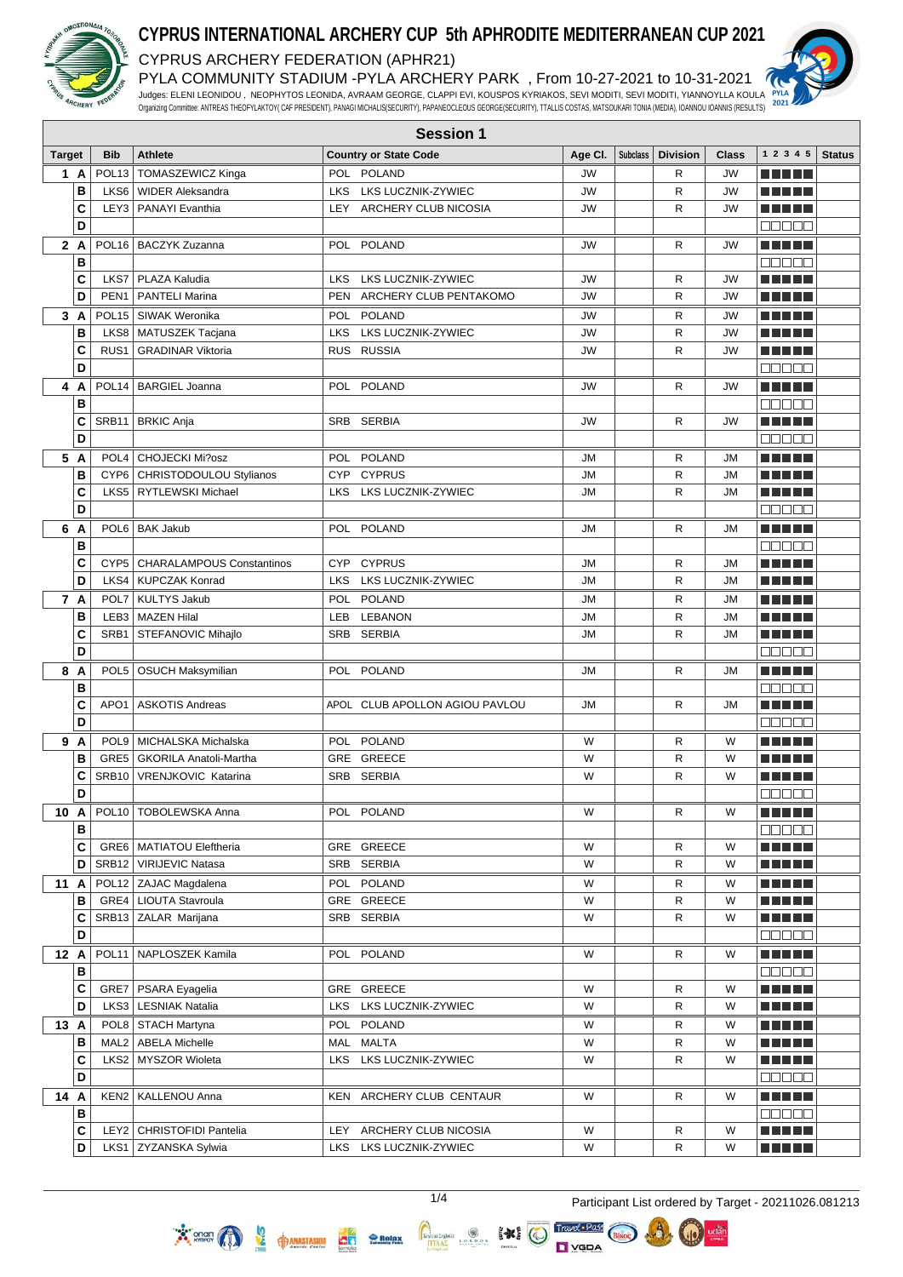

# **CYPRUS INTERNATIONAL ARCHERY CUP 5th APHRODITE MEDITERRANEAN CUP 2021**

CYPRUS ARCHERY FEDERATION (APHR21) PYLA COMMUNITY STADIUM -PYLA ARCHERY PARK , From 10-27-2021 to 10-31-2021



| <b>Target</b> |                | <b>Bib</b>        | Athlete                                              |     | <b>Country or State Code</b>   | Age Cl.   | Subclass   Division | Class     | 12345                | <b>Status</b> |
|---------------|----------------|-------------------|------------------------------------------------------|-----|--------------------------------|-----------|---------------------|-----------|----------------------|---------------|
|               | 1 A            |                   | POL13   TOMASZEWICZ Kinga                            |     | POL POLAND                     | <b>JW</b> | R                   | <b>JW</b> |                      |               |
|               | B              |                   | LKS6   WIDER Aleksandra                              |     | LKS LKS LUCZNIK-ZYWIEC         | <b>JW</b> | R                   | <b>JW</b> |                      |               |
|               | C              |                   | LEY3   PANAYI Evanthia                               |     | LEY ARCHERY CLUB NICOSIA       | <b>JW</b> | $\mathsf{R}$        | <b>JW</b> | n di Titolo          |               |
|               | D              |                   |                                                      |     |                                |           |                     |           | <b>00000</b>         |               |
|               | 2 A            |                   | POL16   BACZYK Zuzanna                               |     | POL POLAND                     | <b>JW</b> | R                   | <b>JW</b> | n din bir            |               |
|               | B              |                   |                                                      |     |                                |           |                     |           | 88888                |               |
|               | C              |                   | LKS7   PLAZA Kaludia                                 |     | LKS LKS LUCZNIK-ZYWIEC         | <b>JW</b> | R                   | <b>JW</b> | M M M M M            |               |
|               | D              | PEN <sub>1</sub>  | <b>PANTELI Marina</b>                                |     | PEN ARCHERY CLUB PENTAKOMO     | <b>JW</b> | R                   | <b>JW</b> |                      |               |
| 3             | A              |                   | POL15   SIWAK Weronika                               |     | POL POLAND                     | <b>JW</b> | R                   | JW        | e e e e e            |               |
|               | В              |                   | LKS8   MATUSZEK Tacjana                              |     | LKS LKS LUCZNIK-ZYWIEC         | <b>JW</b> | R                   | <b>JW</b> | <u> Literatur</u>    |               |
|               | C              | RUS <sub>1</sub>  | <b>GRADINAR Viktoria</b>                             |     | RUS RUSSIA                     | <b>JW</b> | R                   | JW        | n in Tim             |               |
|               | D              |                   |                                                      |     |                                |           |                     |           | 88888                |               |
| 4             | A              | POL <sub>14</sub> | <b>BARGIEL Joanna</b>                                |     | POL POLAND                     | <b>JW</b> | R                   | JW        | n din bir            |               |
|               | В              |                   |                                                      |     |                                |           |                     |           | Ma Ma                |               |
|               | C              | SRB11             | <b>BRKIC Anja</b>                                    |     | SRB SERBIA                     | <b>JW</b> | R                   | JW        | e de la politik      |               |
|               | D              |                   |                                                      |     |                                |           |                     |           | aaaaa                |               |
|               | 5 A            | POL <sub>4</sub>  | <b>CHOJECKI Mi?osz</b>                               |     | POL POLAND                     | JM        | R                   | JМ        | n nin nin            |               |
|               | в              |                   | CYP6 CHRISTODOULOU Stylianos                         |     | CYP CYPRUS                     | <b>JM</b> | R                   | <b>JM</b> | THEFL                |               |
|               | C              |                   | LKS5   RYTLEWSKI Michael                             |     | LKS LKS LUCZNIK-ZYWIEC         | <b>JM</b> | $\mathsf{R}$        | <b>JM</b> | T FI FI FI           |               |
|               | D              |                   |                                                      |     |                                |           |                     |           | 00000                |               |
|               | 6 A            | POL <sub>6</sub>  | <b>BAK Jakub</b>                                     |     | POL POLAND                     | JМ        | R                   | JМ        | n din bir            |               |
|               | B              |                   |                                                      |     |                                |           |                     |           | anaa a               |               |
|               | C              |                   | CYP5   CHARALAMPOUS Constantinos                     |     | CYP CYPRUS                     | <b>JM</b> | R                   | <b>JM</b> | n din bir            |               |
|               | D              | LKS4              | KUPCZAK Konrad                                       |     | LKS LKS LUCZNIK-ZYWIEC         | <b>JM</b> | R                   | JМ        | e de la politik      |               |
|               | 7 A            | POL7              | KULTYS Jakub                                         |     | POL POLAND                     | <b>JM</b> | R                   | <b>JM</b> | n din bir            |               |
|               | В              |                   | LEB3   MAZEN Hilal                                   |     | LEB LEBANON                    | JM        | R                   | JМ        | M E E E E            |               |
|               | C              | SRB1              | STEFANOVIC Mihajlo                                   |     | SRB SERBIA                     | <b>JM</b> | R                   | <b>JM</b> | a di seb             |               |
|               | D              |                   |                                                      |     |                                |           |                     |           | 88888                |               |
|               | 8 A            |                   | POL5   OSUCH Maksymilian                             |     | POL POLAND                     | <b>JM</b> | R                   | JМ        | n na mar             |               |
|               | В              |                   |                                                      |     |                                |           |                     |           | 88888                |               |
|               | C<br>D         | APO <sub>1</sub>  | <b>ASKOTIS Andreas</b>                               |     | APOL CLUB APOLLON AGIOU PAVLOU | <b>JM</b> | R                   | JМ        | n nin nin            |               |
|               |                |                   |                                                      |     |                                |           |                     |           | a a a a a            |               |
|               | 9 A            |                   | POL9 MICHALSKA Michalska                             |     | POL POLAND<br>GRE GREECE       | W<br>W    | R<br>R              | W<br>W    | MA MARIT             |               |
|               | B<br>C         | SRB10             | GRE5   GKORILA Anatoli-Martha<br>VRENJKOVIC Katarina |     | SRB SERBIA                     | W         | R                   | W         | Tin Tin<br>n din bir |               |
|               | D              |                   |                                                      |     |                                |           |                     |           | <b>TEBER</b>         |               |
| 10 A          |                |                   | POL10   TOBOLEWSKA Anna                              |     | POL POLAND                     | W         | R                   | W         | e de la politik      |               |
|               | $\overline{B}$ |                   |                                                      |     |                                |           |                     |           | 00000                |               |
|               | C              |                   | GRE6   MATIATOU Eleftheria                           |     | GRE GREECE                     | W         | R                   | W         |                      |               |
|               | D              |                   | SRB12   VIRIJEVIC Natasa                             |     | SRB SERBIA                     | W         | R                   | W         | <u> Literatur</u>    |               |
| 11 A          |                |                   | POL12   ZAJAC Magdalena                              |     | POL POLAND                     | W         | R                   | W         | <u> Literatur</u>    |               |
|               | в              |                   | GRE4   LIOUTA Stavroula                              |     | GRE GREECE                     | W         | R                   | W         | e de la politik      |               |
|               | C              |                   | SRB13 ZALAR Marijana                                 |     | SRB SERBIA                     | W         | R                   | W         | e e e e e            |               |
|               | D              |                   |                                                      |     |                                |           |                     |           | 88888                |               |
| 12 A          |                |                   | POL11 NAPLOSZEK Kamila                               |     | POL POLAND                     | W         | R                   | W         | M S S S S S          |               |
|               | в              |                   |                                                      |     |                                |           |                     |           | 00000                |               |
|               | C              |                   | GRE7   PSARA Eyagelia                                |     | GRE GREECE                     | W         | R                   | W         | M M M M M            |               |
|               | D              |                   | LKS3   LESNIAK Natalia                               |     | LKS LKS LUCZNIK-ZYWIEC         | W         | R                   | W         | <u> Literatur</u>    |               |
| 13 A          |                |                   | POL8   STACH Martyna                                 |     | POL POLAND                     | W         | R                   | W         | n din bir            |               |
|               | в              |                   | MAL2   ABELA Michelle                                |     | MAL MALTA                      | W         | R                   | W         | <u> Literatur</u>    |               |
|               | C              |                   | LKS2   MYSZOR Wioleta                                |     | LKS LKS LUCZNIK-ZYWIEC         | W         | R                   | W         | M M M M M            |               |
|               | D              |                   |                                                      |     |                                |           |                     |           | an an a              |               |
| 14 A          |                |                   | KEN2   KALLENOU Anna                                 |     | KEN ARCHERY CLUB CENTAUR       | W         | R                   | W         | M S S S S S          |               |
|               | в              |                   |                                                      |     |                                |           |                     |           | MAG 80               |               |
|               | С              |                   | LEY2 CHRISTOFIDI Pantelia                            | LEY | ARCHERY CLUB NICOSIA           | W         | R                   | W         | <u> El Bell</u>      |               |
|               | D              |                   | LKS1   ZYZANSKA Sylwia                               |     | LKS LKS LUCZNIK-ZYWIEC         | W         | R                   | W         | ME DE L              |               |

Relax

 $\sum_{k=1}^{\infty}$  ongn $\binom{n}{k}$ 

**O**<br>The **SEP AMASTASIOU** 

 $\fbox{\parbox{1.5cm} {\begin{picture}(10,10) \put(0,0){\vector(1,0){100}} \put(0,0){\vector(1,0){100}} \put(0,0){\vector(0,1){100}} \put(0,0){\vector(0,1){100}} \put(0,0){\vector(0,1){100}} \put(0,0){\vector(0,1){100}} \put(0,0){\vector(0,1){100}} \put(0,0){\vector(0,1){100}} \put(0,0){\vector(0,1){100}} \put(0,0){\vector(0,1){100}} \put(0,0){\vector(0,1){100}}$ 

Travel · Pass

**D** VGDA

 $**$   $^{\circ}$ 

1/4 Participant List ordered by Target - 20211026.081213 $ucla$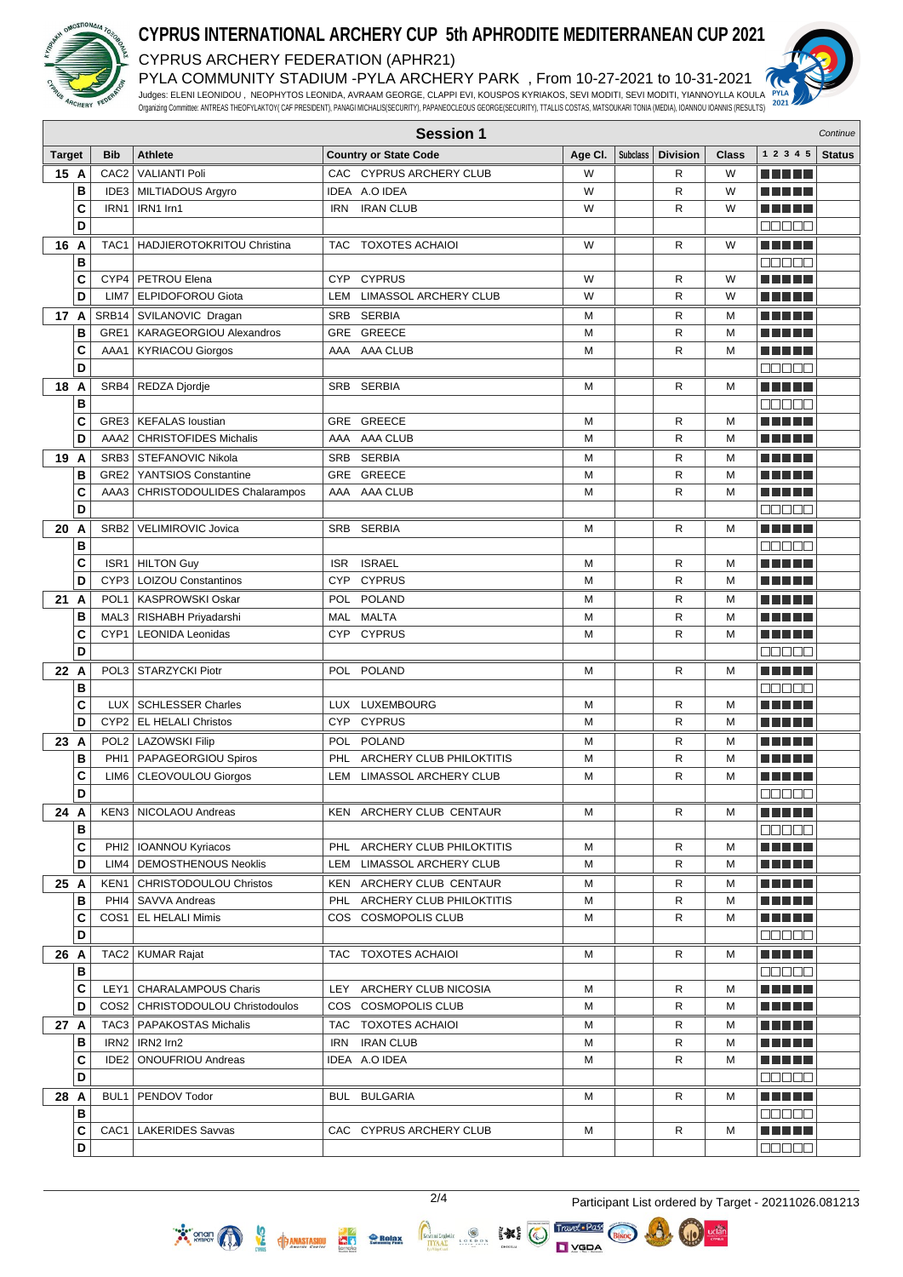

## **CYPRUS INTERNATIONAL ARCHERY CUP 5th APHRODITE MEDITERRANEAN CUP 2021**

CYPRUS ARCHERY FEDERATION (APHR21)

PYLA COMMUNITY STADIUM -PYLA ARCHERY PARK , From 10-27-2021 to 10-31-2021 Judges: ELENI LEONIDOU , NEOPHYTOS LEONIDA, AVRAAM GEORGE, CLAPPI EVI, KOUSPOS KYRIAKOS, SEVI MODITI, SEVI MODITI, YIANNOYLLA KOULA



Organizing Committee: ANTREAS THEOFYLAKTOY( CAF PRESIDENT), PANAGI MICHALIS(SECURITY), PAPANEOCLEOUS GEORGE(SECURITY), TTALLIS COSTAS, MATSOUKARI TONIA (MEDIA), IOANNOU IOANNIS (RESULTS)

|                | <b>Session 1</b><br>Continue |                  |                                      |            |                              |         |                 |                 |              |                             |               |
|----------------|------------------------------|------------------|--------------------------------------|------------|------------------------------|---------|-----------------|-----------------|--------------|-----------------------------|---------------|
| <b>Target</b>  |                              | <b>Bib</b>       | <b>Athlete</b>                       |            | <b>Country or State Code</b> | Age CI. | <b>Subclass</b> | <b>Division</b> | <b>Class</b> | 1 2 3 4 5                   | <b>Status</b> |
| 15 A           |                              | CAC <sub>2</sub> | <b>VALIANTI Poli</b>                 |            | CAC CYPRUS ARCHERY CLUB      | W       |                 | R               | W            |                             |               |
|                | B                            |                  | IDE3   MILTIADOUS Argyro             |            | IDEA A.O IDEA                | W       |                 | $\mathsf{R}$    | W            | N N D D U                   |               |
|                | C                            | IRN1             | IRN1 Irn1                            | IRN        | <b>IRAN CLUB</b>             | W       |                 | R               | W            |                             |               |
|                | D                            |                  |                                      |            |                              |         |                 |                 |              | <b>ROBBE</b>                |               |
| 16             | A                            | TAC <sub>1</sub> | HADJIEROTOKRITOU Christina           | TAC        | <b>TOXOTES ACHAIOI</b>       | W       |                 | R               | W            | <u> El Bert</u>             |               |
|                | B                            |                  |                                      |            |                              |         |                 |                 |              | 00000                       |               |
|                | C                            |                  | CYP4   PETROU Elena                  | <b>CYP</b> | <b>CYPRUS</b>                | W       |                 | R               | W            | n din bir                   |               |
|                | D                            | LIM7             | ELPIDOFOROU Giota                    | LEM        | LIMASSOL ARCHERY CLUB        | W       |                 | $\mathsf{R}$    | W            | n di Titolo                 |               |
| 17 A           |                              |                  | SRB14 SVILANOVIC Dragan              |            | SRB SERBIA                   | М       |                 | R               | M            | n din se                    |               |
|                | B                            | GRE1             | KARAGEORGIOU Alexandros              |            | GRE GREECE                   | М       |                 | R               | M            | n di Tin                    |               |
|                | C                            | AAA1             | <b>KYRIACOU Giorgos</b>              |            | AAA AAA CLUB                 | M       |                 | R               | M            | TI NI TITL                  |               |
|                | D                            |                  |                                      |            |                              |         |                 |                 |              | $\Box\Box\Box\Box\Box$      |               |
| 18             | A                            |                  | SRB4   REDZA Djordje                 |            | SRB SERBIA                   | м       |                 | R               | м            | <u>man ma</u>               |               |
|                | B                            |                  |                                      |            |                              |         |                 |                 |              | 00000                       |               |
|                | C                            |                  | GRE3   KEFALAS loustian              |            | GRE GREECE                   | М       |                 | R               | M            | <u> El Berto de la </u>     |               |
|                | D                            | AAA2             | <b>CHRISTOFIDES Michalis</b>         |            | AAA AAA CLUB                 | M       |                 | $\mathsf{R}$    | M            | ma matsa                    |               |
| 19             | A                            |                  | SRB3 STEFANOVIC Nikola               |            | SRB SERBIA                   | М       |                 | R               | M            | TI NI TITL                  |               |
|                | B                            |                  | GRE2   YANTSIOS Constantine          |            | GRE GREECE                   | M       |                 | R               | M            | Tin Tin                     |               |
|                | C                            | AAA3             | <b>CHRISTODOULIDES Chalarampos</b>   |            | AAA AAA CLUB                 | М       |                 | $\mathsf{R}$    | M            | TI FILM                     |               |
|                | D                            |                  |                                      |            |                              |         |                 |                 |              | ana an                      |               |
| 20             | A                            | SRB <sub>2</sub> | VELIMIROVIC Jovica                   |            | SRB SERBIA                   | м       |                 | R               | M            | <u> El Berto de la </u>     |               |
|                | B                            |                  |                                      |            |                              |         |                 |                 |              | a a a a a                   |               |
|                | C                            |                  | ISR1   HILTON Guy                    | <b>ISR</b> | <b>ISRAEL</b>                | м       |                 | R               | M            | an bin birni                |               |
|                | D                            |                  | CYP3   LOIZOU Constantinos           | CYP        | <b>CYPRUS</b>                | M       |                 | $\mathsf{R}$    | M            | MA MARIT                    |               |
| $21 \text{ A}$ |                              |                  | POL1   KASPROWSKI Oskar              |            | POL POLAND                   | М       |                 | R               | М            |                             |               |
|                | B                            |                  | MAL3   RISHABH Priyadarshi           |            | MAL MALTA                    | М       |                 | $\mathsf{R}$    | M            | n di Titolo                 |               |
|                | C                            |                  | CYP1   LEONIDA Leonidas              |            | CYP CYPRUS                   | M       |                 | $\mathsf{R}$    | M            | M HELL                      |               |
|                | D                            |                  |                                      |            |                              |         |                 |                 |              | 88888                       |               |
| 22 A           |                              |                  | POL3   STARZYCKI Piotr               |            | POL POLAND                   | M       |                 | R               | M            | a da birnin b               |               |
|                | В                            |                  |                                      |            |                              |         |                 |                 |              | 8888F                       |               |
|                | C                            |                  | LUX   SCHLESSER Charles              |            | LUX LUXEMBOURG               | M       |                 | R               | M            | E ANTIFI                    |               |
|                | D                            |                  | CYP2   EL HELALI Christos            |            | CYP CYPRUS                   | M       |                 | R               | M            | an kalendar                 |               |
| 23 A           |                              |                  | POL2   LAZOWSKI Filip                |            | POL POLAND                   | М       |                 | R               | M            | T FI FI FI                  |               |
|                | B                            |                  | PHI1   PAPAGEORGIOU Spiros           |            | PHL ARCHERY CLUB PHILOKTITIS | M       |                 | R               | M            |                             |               |
|                | C                            |                  | LIM6   CLEOVOULOU Giorgos            |            | LEM LIMASSOL ARCHERY CLUB    | М       |                 | R               | M            | TI TITLE                    |               |
|                | D                            |                  |                                      |            |                              |         |                 |                 |              | Ma da a                     |               |
| 24 A           |                              |                  | KEN3   NICOLAOU Andreas              |            | KEN ARCHERY CLUB CENTAUR     | М       |                 | R               | м            |                             |               |
|                | в                            |                  |                                      |            |                              |         |                 |                 |              | 88888                       |               |
|                | С                            |                  | PHI2   IOANNOU Kyriacos              |            | PHL ARCHERY CLUB PHILOKTITIS | М       |                 | R               | M            | E E E E E                   |               |
|                | D                            |                  | LIM4   DEMOSTHENOUS Neoklis          |            | LEM LIMASSOL ARCHERY CLUB    | М       |                 | R               | М            | <u> Literatur</u>           |               |
| 25 A           |                              |                  | <b>KEN1   CHRISTODOULOU Christos</b> |            | KEN ARCHERY CLUB CENTAUR     | м       |                 | R               | M            | ME NE S                     |               |
|                | в                            |                  | PHI4   SAVVA Andreas                 |            | PHL ARCHERY CLUB PHILOKTITIS | М       |                 | R               | M            |                             |               |
|                | C                            |                  | COS1   EL HELALI Mimis               |            | COS COSMOPOLIS CLUB          | м       |                 | R               | M            | M M M M M                   |               |
|                | D                            |                  |                                      |            |                              |         |                 |                 |              | 00000                       |               |
| 26 A           |                              |                  | TAC2   KUMAR Rajat                   | TAC.       | <b>TOXOTES ACHAIOI</b>       | м       |                 | R               | м            | MAN HIT                     |               |
|                | в                            |                  |                                      |            |                              |         |                 |                 |              | $\Box$ $\Box$ $\Box$ $\Box$ |               |
|                | C                            |                  | LEY1   CHARALAMPOUS Charis           |            | LEY ARCHERY CLUB NICOSIA     | М       |                 | R               | М            | ME DE L                     |               |
|                | D                            |                  | COS2   CHRISTODOULOU Christodoulos   |            | COS COSMOPOLIS CLUB          | М       |                 | R               | М            | ME NE S                     |               |
| 27 A           |                              |                  | TAC3   PAPAKOSTAS Michalis           |            | TAC TOXOTES ACHAIOI          | М       |                 | R               | M            | ME SE S                     |               |
|                | в                            |                  | IRN2   IRN2 Irn2                     |            | IRN IRAN CLUB                | М       |                 | R               | м            | ME SE S                     |               |
|                | C                            |                  | IDE2   ONOUFRIOU Andreas             |            | IDEA A.O IDEA                | М       |                 | R               | м            | <u> El El El E</u>          |               |
|                | D                            |                  |                                      |            |                              |         |                 |                 |              | <b>00000</b>                |               |
| 28 A           |                              |                  | BUL1   PENDOV Todor                  |            | BUL BULGARIA                 | м       |                 | R               | М            | M S S S S S                 |               |
|                | в                            |                  |                                      |            |                              |         |                 |                 |              | $\Box\Box\Box\Box\Box$      |               |
|                | C<br>D                       |                  | CAC1   LAKERIDES Savvas              |            | CAC CYPRUS ARCHERY CLUB      | М       |                 | R               | М            | a di kacamatan              |               |
|                |                              |                  |                                      |            |                              |         |                 |                 |              | 88888                       |               |

 $\fbox{\parbox{1.5cm} \begin{picture}(12,14) \put(0,0){\vector(0,1){30}} \put(15,0){\vector(0,1){30}} \put(15,0){\vector(0,1){30}} \put(15,0){\vector(0,1){30}} \put(15,0){\vector(0,1){30}} \put(15,0){\vector(0,1){30}} \put(15,0){\vector(0,1){30}} \put(15,0){\vector(0,1){30}} \put(15,0){\vector(0,1){30}} \put(15,0){\vector(0,1){30}} \put(15,0){\vector(0,1){30}} \$ 

LORDOS

 $\sum_{n=1}^{\infty}$  energy  $\binom{n}{n}$ 

**HIP ANASTASIOU** 

da.

Relax

2/4 Participant List ordered by Target - 20211026.081213

Travel . Pass

 $\Box$   $YGDA$ 

**XX (C)**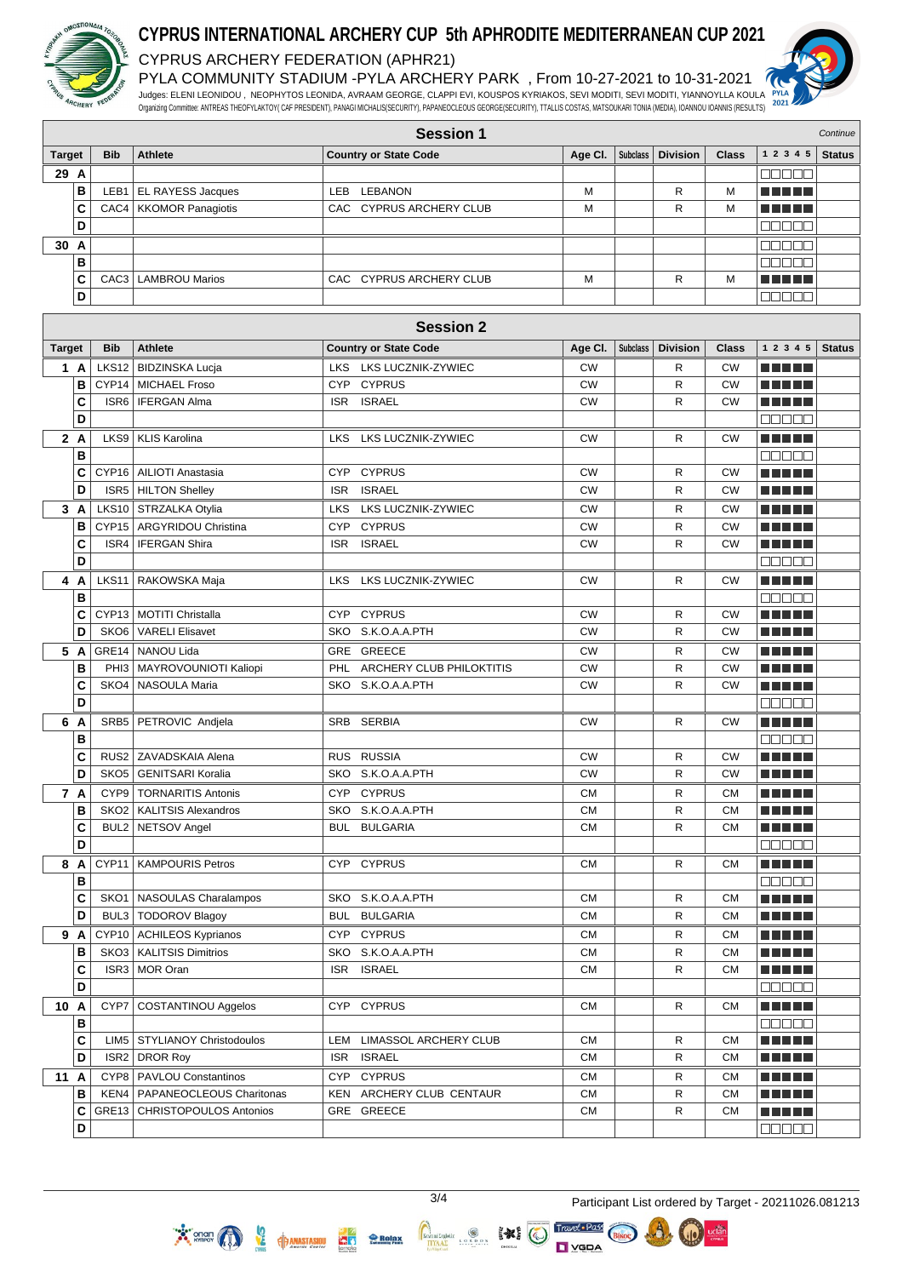

#### **CYPRUS INTERNATIONAL ARCHERY CUP 5th APHRODITE MEDITERRANEAN CUP 2021** CYPRUS ARCHERY FEDERATION (APHR21)

PYLA COMMUNITY STADIUM -PYLA ARCHERY PARK , From 10-27-2021 to 10-31-2021 Judges: ELENI LEONIDOU , NEOPHYTOS LEONIDA, AVRAAM GEORGE, CLAPPI EVI, KOUSPOS KYRIAKOS, SEVI MODITI, SEVI MODITI, YIANNOYLLA KOULA Organizing Committee: ANTREAS THEOFYLAKTOY( CAF PRESIDENT), PANAGI MICHALIS(SECURITY), PAPANEOCLEOUS GEORGE(SECURITY), TTALLIS COSTAS, MATSOUKARI TONIA (MEDIA), IOANNOU IOANNIS (RESULTS)



|               | <b>Session 1</b><br>Continue |                  |                                 |                                         |            |                 |                     |              |                            |               |
|---------------|------------------------------|------------------|---------------------------------|-----------------------------------------|------------|-----------------|---------------------|--------------|----------------------------|---------------|
| <b>Target</b> |                              | <b>Bib</b>       | <b>Athlete</b>                  | <b>Country or State Code</b>            | Age CI.    |                 | Subclass   Division | <b>Class</b> | 1 2 3 4 5                  | <b>Status</b> |
| 29 A          |                              |                  |                                 |                                         |            |                 |                     |              | ME E E E                   |               |
|               | в                            |                  | LEB1   EL RAYESS Jacques        | LEB LEBANON                             | М          |                 | R                   | M            | TA TITLE                   |               |
|               | C                            |                  | CAC4   KKOMOR Panagiotis        | CAC CYPRUS ARCHERY CLUB                 | М          |                 | R                   | M            |                            |               |
|               | D                            |                  |                                 |                                         |            |                 |                     |              | an da s                    |               |
| 30 A          |                              |                  |                                 |                                         |            |                 |                     |              |                            |               |
|               | B                            |                  |                                 |                                         |            |                 |                     |              | MUE E E<br>00000           |               |
|               |                              |                  |                                 | CAC CYPRUS ARCHERY CLUB                 |            |                 |                     |              |                            |               |
|               | C                            | CAC <sub>3</sub> | <b>LAMBROU Marios</b>           |                                         | М          |                 | R                   | M            | n n n n n                  |               |
|               | D                            |                  |                                 |                                         |            |                 |                     |              | 88888                      |               |
|               |                              |                  |                                 | <b>Session 2</b>                        |            |                 |                     |              |                            |               |
|               |                              |                  |                                 |                                         |            |                 |                     |              | 1 2 3 4 5                  |               |
| <b>Target</b> |                              | <b>Bib</b>       | <b>Athlete</b>                  | <b>Country or State Code</b>            | Age CI.    | <b>Subclass</b> | <b>Division</b>     | Class        |                            | <b>Status</b> |
|               | 1 A                          |                  | LKS12   BIDZINSKA Lucja         | <b>LKS LUCZNIK-ZYWIEC</b><br><b>LKS</b> | <b>CW</b>  |                 | R                   | <b>CW</b>    |                            |               |
|               | B                            |                  | CYP14   MICHAEL Froso           | CYP CYPRUS                              | <b>CW</b>  |                 | R                   | <b>CW</b>    | <u> El Hel</u>             |               |
|               | C                            |                  | ISR6   IFERGAN Alma             | <b>ISRAEL</b><br>ISR.                   | <b>CW</b>  |                 | R                   | <b>CW</b>    | <u> Literatur</u>          |               |
|               | D                            |                  |                                 |                                         |            |                 |                     |              | 88888                      |               |
|               | 2A                           |                  | LKS9   KLIS Karolina            | <b>LKS LUCZNIK-ZYWIEC</b><br>LKS.       | <b>CW</b>  |                 | R                   | <b>CW</b>    | <u> El El El E</u>         |               |
|               | B                            |                  |                                 |                                         |            |                 |                     |              | Maaa a                     |               |
|               | C                            |                  | CYP16   AILIOTI Anastasia       | <b>CYPRUS</b><br>CYP                    | <b>CW</b>  |                 | R                   | <b>CW</b>    |                            |               |
|               | D                            |                  | ISR5   HILTON Shelley           | <b>ISR</b><br><b>ISRAEL</b>             | <b>CW</b>  |                 | R                   | <b>CW</b>    | .                          |               |
|               | 3A                           |                  | LKS10   STRZALKA Otylia         | LKS LUCZNIK-ZYWIEC<br>LKS               | <b>CW</b>  |                 | R                   | СW           |                            |               |
|               | в                            |                  | CYP15   ARGYRIDOU Christina     | CYP CYPRUS                              | <b>CW</b>  |                 | R                   | <b>CW</b>    |                            |               |
|               | С                            |                  | ISR4   IFERGAN Shira            | ISR.<br><b>ISRAEL</b>                   | <b>CW</b>  |                 | R                   | <b>CW</b>    | <b>RICH BILLIN</b>         |               |
|               | D                            |                  |                                 |                                         |            |                 |                     |              | 88888                      |               |
|               | 4 A                          |                  | LKS11   RAKOWSKA Maja           | LKS LUCZNIK-ZYWIEC<br>LKS.              | <b>CW</b>  |                 | R                   | <b>CW</b>    | n din din                  |               |
|               | B                            |                  |                                 |                                         |            |                 |                     |              | 00000                      |               |
|               | C                            |                  | CYP13   MOTITI Christalla       | <b>CYPRUS</b><br>CYP                    | <b>CW</b>  |                 | R                   | <b>CW</b>    | a di kacamatan Ing         |               |
|               | D                            |                  | SKO6   VARELI Elisavet          | SKO S.K.O.A.A.PTH                       | <b>CW</b>  |                 | R                   | <b>CW</b>    | ma matsa                   |               |
|               |                              |                  |                                 |                                         |            |                 |                     |              |                            |               |
|               | 5 A                          |                  | GRE14   NANOU Lida              | GRE GREECE                              | <b>CW</b>  |                 | R                   | <b>CW</b>    | n na m                     |               |
|               | B                            |                  | PHI3   MAYROVOUNIOTI Kaliopi    | PHL ARCHERY CLUB PHILOKTITIS            | <b>CW</b>  |                 | R                   | <b>CW</b>    | TI TITLE                   |               |
|               | C                            | SKO4             | <b>NASOULA Maria</b>            | SKO S.K.O.A.A.PTH                       | <b>CW</b>  |                 | R                   | <b>CW</b>    | ma matsa                   |               |
|               | D                            |                  |                                 |                                         |            |                 |                     |              | anaa a                     |               |
|               | 6 A                          |                  | SRB5   PETROVIC Andjela         | SRB SERBIA                              | <b>CW</b>  |                 | R                   | <b>CW</b>    | n din bin                  |               |
|               | В                            |                  |                                 |                                         |            |                 |                     |              | 00000                      |               |
|               | C                            |                  | RUS2   ZAVADSKAIA Alena         | RUS RUSSIA                              | <b>CW</b>  |                 | R                   | <b>CW</b>    | MA HEL                     |               |
|               | D                            |                  | SKO5   GENITSARI Koralia        | SKO S.K.O.A.A.PTH                       | <b>CW</b>  |                 | R                   | <b>CW</b>    |                            |               |
|               | 7 A                          |                  | CYP9   TORNARITIS Antonis       | CYP CYPRUS                              | CМ         |                 | R                   | <b>CM</b>    | .                          |               |
|               | B                            |                  | SKO2 KALITSIS Alexandros        | SKO S.K.O.A.A.PTH                       | ${\sf CM}$ |                 | R                   | ${\sf CM}$   | <u> DE BER</u>             |               |
|               | C                            |                  | BUL2   NETSOV Angel             | BUL BULGARIA                            | СM         |                 | R                   | <b>CM</b>    | n din din                  |               |
|               | D                            |                  |                                 |                                         |            |                 |                     |              | 00000                      |               |
|               | 8 A                          | CYP11            | <b>KAMPOURIS Petros</b>         | CYP CYPRUS                              | СM         |                 | R                   | <b>CM</b>    | e de la la                 |               |
|               | B                            |                  |                                 |                                         |            |                 |                     |              | <b>00000</b>               |               |
|               | C                            |                  | SKO1   NASOULAS Charalampos     | SKO S.K.O.A.A.PTH                       | <b>CM</b>  |                 | R                   | <b>CM</b>    | e e e e e                  |               |
|               | D                            |                  | BUL3   TODOROV Blagoy           | <b>BULGARIA</b><br>BUL                  | <b>CM</b>  |                 | R                   | <b>CM</b>    | <b>REBEL</b>               |               |
|               | 9 A                          |                  | CYP10   ACHILEOS Kyprianos      | CYP CYPRUS                              | <b>CM</b>  |                 | R                   | <b>CM</b>    | e e e e e                  |               |
|               | B                            |                  | SKO3   KALITSIS Dimitrios       | SKO S.K.O.A.A.PTH                       | <b>CM</b>  |                 | R                   | <b>CM</b>    | e de la la                 |               |
|               | C                            |                  | ISR3 MOR Oran                   | ISR ISRAEL                              | <b>CM</b>  |                 | R                   | <b>CM</b>    | <b>REBEL</b>               |               |
|               | D                            |                  |                                 |                                         |            |                 |                     |              | 00000                      |               |
|               |                              |                  |                                 |                                         |            |                 |                     |              |                            |               |
| 10 A          |                              |                  | CYP7 COSTANTINOU Aggelos        | CYP CYPRUS                              | <b>CM</b>  |                 | R                   | <b>CM</b>    | <u> DE BER</u>             |               |
|               | В                            |                  |                                 |                                         |            |                 |                     |              | $\Box \Box \Box \Box \Box$ |               |
|               | C                            |                  | LIM5   STYLIANOY Christodoulos  | LEM LIMASSOL ARCHERY CLUB               | <b>CM</b>  |                 | R                   | <b>CM</b>    | e de la la                 |               |
|               | D                            |                  | ISR2 DROR Roy                   | ISR ISRAEL                              | <b>CM</b>  |                 | R                   | <b>CM</b>    | <b>REBEL</b>               |               |
| 11 A          |                              |                  | CYP8   PAVLOU Constantinos      | CYP CYPRUS                              | <b>CM</b>  |                 | R                   | <b>CM</b>    | a da da                    |               |
|               | B                            |                  | KEN4   PAPANEOCLEOUS Charitonas | KEN ARCHERY CLUB CENTAUR                | <b>CM</b>  |                 | R                   | <b>CM</b>    | <u> DE BER</u>             |               |
|               | C                            |                  | GRE13   CHRISTOPOULOS Antonios  | GRE GREECE                              | <b>CM</b>  |                 | R                   | <b>CM</b>    | <b>REBEL</b>               |               |
|               | D                            |                  |                                 |                                         |            |                 |                     |              |                            |               |

Relax

 $\sum_{n=1}^{\infty}$  onen  $\bigcap$ 

**O**<br>**EXECUTE OF A PARAGEMENT** 

 $\fbox{\parbox{1.5cm} \begin{picture}(120,140)(-0,0){\vector(1,0){100}} \put(0,0){\vector(1,0){100}} \put(0,0){\vector(1,0){100}} \put(0,0){\vector(1,0){100}} \put(0,0){\vector(1,0){100}} \put(0,0){\vector(1,0){100}} \put(0,0){\vector(1,0){100}} \put(0,0){\vector(1,0){100}} \put(0,0){\vector(1,0){100}} \put(0,0){\vector(1,0){100}} \put(0,0){\vector(1,0){100}}$ 

Travel · Pass

 $\Box$   $YGDA$ 

 $\left( \begin{matrix} 1 & 0 \\ 0 & 1 \end{matrix} \right)$